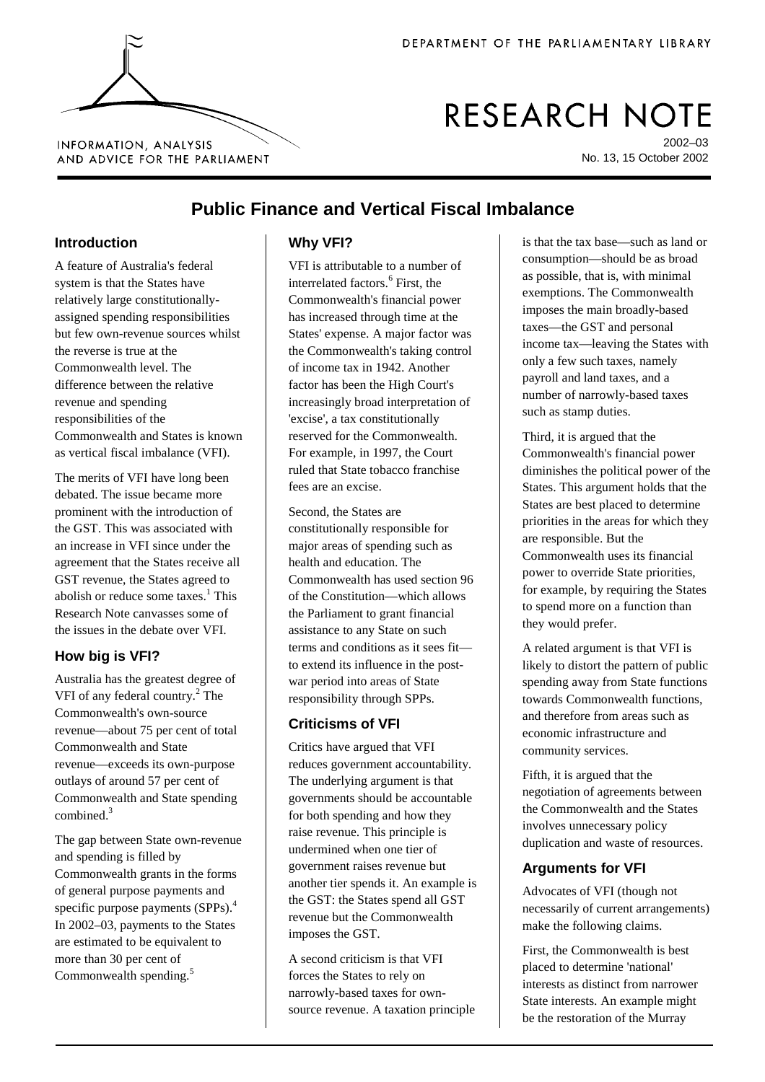

# RESEARCH NOTE

2002–03 No. 13, 15 October 2002

## AND ADVICE FOR THE PARLIAMENT

### **Public Finance and Vertical Fiscal Imbalance**

#### **Introduction**

A feature of Australia's federal system is that the States have relatively large constitutionallyassigned spending responsibilities but few own-revenue sources whilst the reverse is true at the Commonwealth level. The difference between the relative revenue and spending responsibilities of the Commonwealth and States is known as vertical fiscal imbalance (VFI).

The merits of VFI have long been debated. The issue became more prominent with the introduction of the GST. This was associated with an increase in VFI since under the agreement that the States receive all GST revenue, the States agreed to abolish or reduce some taxes.<sup>[1](#page-1-0)</sup> This Research Note canvasses some of the issues in the debate over VFI.

#### **How big is VFI?**

Australia has the greatest degree of VFI of any federal country.<sup>[2](#page-1-0)</sup> The Commonwealth's own-source revenue—about 75 per cent of total Commonwealth and State revenue—exceeds its own-purpose outlays of around 57 per cent of Commonwealth and State spending combined.[3](#page-1-0)

The gap between State own-revenue and spending is filled by Commonwealth grants in the forms of general purpose payments and specific purpose payments (SPPs).<sup>[4](#page-1-0)</sup> In 2002–03, payments to the States are estimated to be equivalent to more than 30 per cent of Commonwealth spending.<sup>[5](#page-1-0)</sup>

#### **Why VFI?**

VFI is attributable to a number of interrelated factors.<sup>[6](#page-1-0)</sup> First, the Commonwealth's financial power has increased through time at the States' expense. A major factor was the Commonwealth's taking control of income tax in 1942. Another factor has been the High Court's increasingly broad interpretation of 'excise', a tax constitutionally reserved for the Commonwealth. For example, in 1997, the Court ruled that State tobacco franchise fees are an excise.

Second, the States are constitutionally responsible for major areas of spending such as health and education. The Commonwealth has used section 96 of the Constitution—which allows the Parliament to grant financial assistance to any State on such terms and conditions as it sees fit to extend its influence in the postwar period into areas of State responsibility through SPPs.

#### **Criticisms of VFI**

Critics have argued that VFI reduces government accountability. The underlying argument is that governments should be accountable for both spending and how they raise revenue. This principle is undermined when one tier of government raises revenue but another tier spends it. An example is the GST: the States spend all GST revenue but the Commonwealth imposes the GST.

A second criticism is that VFI forces the States to rely on narrowly-based taxes for ownsource revenue. A taxation principle is that the tax base—such as land or consumption—should be as broad as possible, that is, with minimal exemptions. The Commonwealth imposes the main broadly-based taxes—the GST and personal income tax—leaving the States with only a few such taxes, namely payroll and land taxes, and a number of narrowly-based taxes such as stamp duties.

Third, it is argued that the Commonwealth's financial power diminishes the political power of the States. This argument holds that the States are best placed to determine priorities in the areas for which they are responsible. But the Commonwealth uses its financial power to override State priorities, for example, by requiring the States to spend more on a function than they would prefer.

A related argument is that VFI is likely to distort the pattern of public spending away from State functions towards Commonwealth functions, and therefore from areas such as economic infrastructure and community services.

Fifth, it is argued that the negotiation of agreements between the Commonwealth and the States involves unnecessary policy duplication and waste of resources.

#### **Arguments for VFI**

Advocates of VFI (though not necessarily of current arrangements) make the following claims.

First, the Commonwealth is best placed to determine 'national' interests as distinct from narrower State interests. An example might be the restoration of the Murray